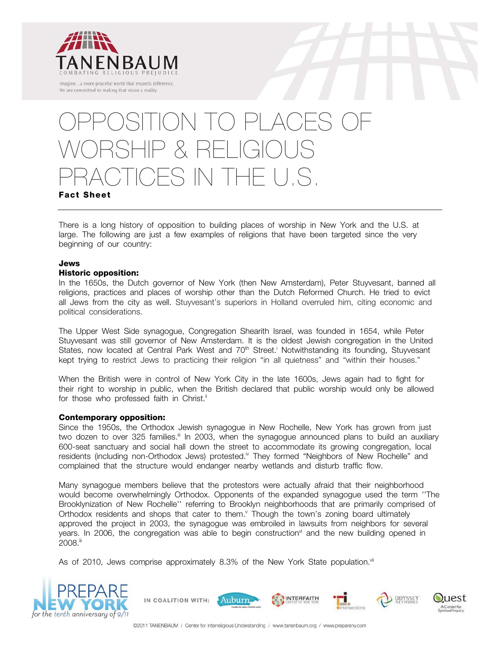

We are committed to making that vision a reality.

# ITION TO PLACE WORSHIP & RELIGIOUS PRACTICES IN THE U.S.

## **Fact Sheet**

There is a long history of opposition to building places of worship in New York and the U.S. at large. The following are just a few examples of religions that have been targeted since the very beginning of our country:

## **Jews**

## **Historic opposition:**

In the 1650s, the Dutch governor of New York (then New Amsterdam), Peter Stuyvesant, banned all religions, practices and places of worship other than the Dutch Reformed Church. He tried to evict all Jews from the city as well. Stuyvesant's superiors in Holland overruled him, citing economic and political considerations.

The Upper West Side synagogue, Congregation Shearith Israel, was founded in 1654, while Peter Stuyvesant was still governor of New Amsterdam. It is the oldest Jewish congregation in the United States, now located at Central Park West and 70<sup>th</sup> Street.<sup>†</sup> Notwithstanding its founding, Stuyvesant kept trying to restrict Jews to practicing their religion "in all quietness" and "within their houses."

When the British were in control of New York City in the late 1600s, Jews again had to fight for their right to worship in public, when the British declared that public worship would only be allowed for those who professed faith in Christ.<sup>ii</sup>

## **Contemporary opposition:**

Since the 1950s, the Orthodox Jewish synagogue in New Rochelle, New York has grown from just two dozen to over 325 families.<sup>ii</sup> In 2003, when the synagogue announced plans to build an auxiliary 600-seat sanctuary and social hall down the street to accommodate its growing congregation, local residents (including non-Orthodox Jews) protested.<sup>iv</sup> They formed "Neighbors of New Rochelle" and complained that the structure would endanger nearby wetlands and disturb traffic flow.

Many synagogue members believe that the protestors were actually afraid that their neighborhood would become overwhelmingly Orthodox. Opponents of the expanded synagogue used the term ''The Brooklynization of New Rochelle'' referring to Brooklyn neighborhoods that are primarily comprised of Orthodox residents and shops that cater to them.<sup>v</sup> Though the town's zoning board ultimately approved the project in 2003, the synagogue was embroiled in lawsuits from neighbors for several years. In 2006, the congregation was able to begin construction $v<sup>i</sup>$  and the new building opened in 2008.iii

As of 2010, Jews comprise approximately 8.3% of the New York State population.<sup>vii</sup>





 $11est$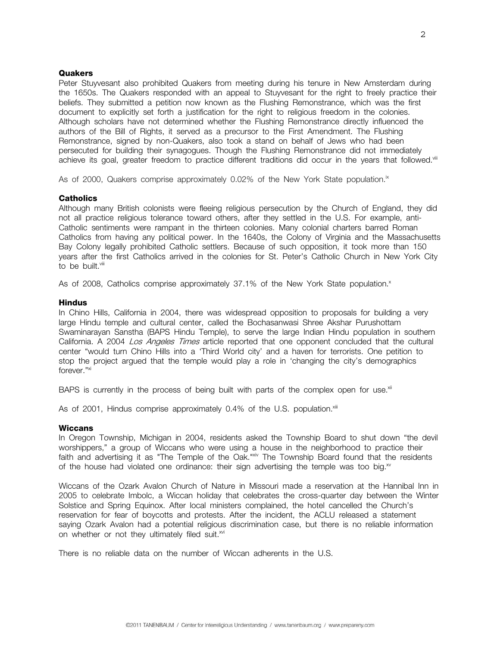## **Quakers**

Peter Stuyvesant also prohibited Quakers from meeting during his tenure in New Amsterdam during the 1650s. The Quakers responded with an appeal to Stuyvesant for the right to freely practice their beliefs. They submitted a petition now known as the Flushing Remonstrance, which was the first document to explicitly set forth a justification for the right to religious freedom in the colonies. Although scholars have not determined whether the Flushing Remonstrance directly influenced the authors of the Bill of Rights, it served as a precursor to the First Amendment. The Flushing Remonstrance, signed by non-Quakers, also took a stand on behalf of Jews who had been persecuted for building their synagogues. Though the Flushing Remonstrance did not immediately achieve its goal, greater freedom to practice different traditions did occur in the years that followed.<sup>viii</sup>

As of 2000, Quakers comprise approximately 0.02% of the New York State population.<sup>ix</sup>

## **Catholics**

Although many British colonists were fleeing religious persecution by the Church of England, they did not all practice religious tolerance toward others, after they settled in the U.S. For example, anti-Catholic sentiments were rampant in the thirteen colonies. Many colonial charters barred Roman Catholics from having any political power. In the 1640s, the Colony of Virginia and the Massachusetts Bay Colony legally prohibited Catholic settlers. Because of such opposition, it took more than 150 years after the first Catholics arrived in the colonies for St. Peter's Catholic Church in New York City to be built.<sup>viii</sup>

As of 2008, Catholics comprise approximately 37.1% of the New York State population.<sup>x</sup>

#### **Hindus**

In Chino Hills, California in 2004, there was widespread opposition to proposals for building a very large Hindu temple and cultural center, called the Bochasanwasi Shree Akshar Purushottam Swaminarayan Sanstha (BAPS Hindu Temple), to serve the large Indian Hindu population in southern California. A 2004 Los Angeles Times article reported that one opponent concluded that the cultural center "would turn Chino Hills into a 'Third World city' and a haven for terrorists. One petition to stop the project argued that the temple would play a role in 'changing the city's demographics forever."xi

BAPS is currently in the process of being built with parts of the complex open for use. $x$ <sup>ii</sup>

As of 2001, Hindus comprise approximately 0.4% of the U.S. population.<sup>xiii</sup>

#### **Wiccans**

In Oregon Township, Michigan in 2004, residents asked the Township Board to shut down "the devil worshippers," a group of Wiccans who were using a house in the neighborhood to practice their faith and advertising it as "The Temple of the Oak."xiv The Township Board found that the residents of the house had violated one ordinance: their sign advertising the temple was too big. $x^2$ 

Wiccans of the Ozark Avalon Church of Nature in Missouri made a reservation at the Hannibal Inn in 2005 to celebrate Imbolc, a Wiccan holiday that celebrates the cross-quarter day between the Winter Solstice and Spring Equinox. After local ministers complained, the hotel cancelled the Church's reservation for fear of boycotts and protests. After the incident, the ACLU released a statement saying Ozark Avalon had a potential religious discrimination case, but there is no reliable information on whether or not they ultimately filed suit.<sup>xvi</sup>

There is no reliable data on the number of Wiccan adherents in the U.S.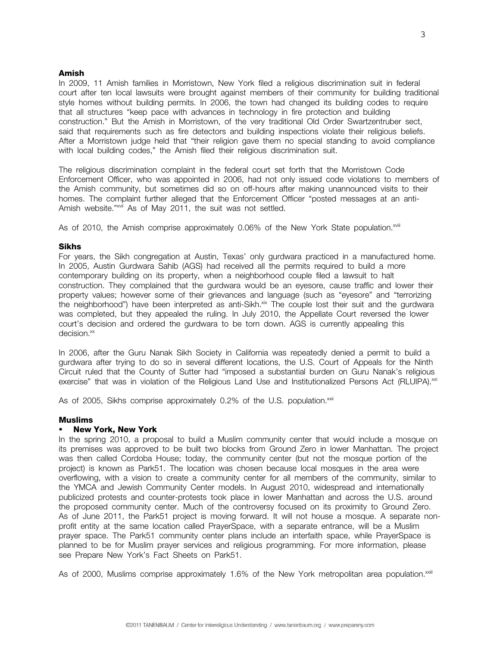## **Amish**

In 2009, 11 Amish families in Morristown, New York filed a religious discrimination suit in federal court after ten local lawsuits were brought against members of their community for building traditional style homes without building permits. In 2006, the town had changed its building codes to require that all structures "keep pace with advances in technology in fire protection and building construction." But the Amish in Morristown, of the very traditional Old Order Swartzentruber sect, said that requirements such as fire detectors and building inspections violate their religious beliefs. After a Morristown judge held that "their religion gave them no special standing to avoid compliance with local building codes," the Amish filed their religious discrimination suit.

The religious discrimination complaint in the federal court set forth that the Morristown Code Enforcement Officer, who was appointed in 2006, had not only issued code violations to members of the Amish community, but sometimes did so on off-hours after making unannounced visits to their homes. The complaint further alleged that the Enforcement Officer "posted messages at an anti-Amish website."<sup>xvii</sup> As of May 2011, the suit was not settled.

As of 2010, the Amish comprise approximately 0.06% of the New York State population.<sup>xviii</sup>

## **Sikhs**

For years, the Sikh congregation at Austin, Texas' only gurdwara practiced in a manufactured home. In 2005, Austin Gurdwara Sahib (AGS) had received all the permits required to build a more contemporary building on its property, when a neighborhood couple filed a lawsuit to halt construction. They complained that the gurdwara would be an eyesore, cause traffic and lower their property values; however some of their grievances and language (such as "eyesore" and "terrorizing the neighborhood") have been interpreted as anti-Sikh.<sup>xix</sup> The couple lost their suit and the gurdwara was completed, but they appealed the ruling. In July 2010, the Appellate Court reversed the lower court's decision and ordered the gurdwara to be torn down. AGS is currently appealing this decision.<sup>xx</sup>

In 2006, after the Guru Nanak Sikh Society in California was repeatedly denied a permit to build a gurdwara after trying to do so in several different locations, the U.S. Court of Appeals for the Ninth Circuit ruled that the County of Sutter had "imposed a substantial burden on Guru Nanak's religious exercise" that was in violation of the Religious Land Use and Institutionalized Persons Act (RLUIPA).<sup>xxi</sup>

As of 2005, Sikhs comprise approximately 0.2% of the U.S. population.<sup>xxii</sup>

#### **Muslims**

#### **New York, New York**

In the spring 2010, a proposal to build a Muslim community center that would include a mosque on its premises was approved to be built two blocks from Ground Zero in lower Manhattan. The project was then called Cordoba House; today, the community center (but not the mosque portion of the project) is known as Park51. The location was chosen because local mosques in the area were overflowing, with a vision to create a community center for all members of the community, similar to the YMCA and Jewish Community Center models. In August 2010, widespread and internationally publicized protests and counter-protests took place in lower Manhattan and across the U.S. around the proposed community center. Much of the controversy focused on its proximity to Ground Zero. As of June 2011, the Park51 project is moving forward. It will not house a mosque. A separate nonprofit entity at the same location called PrayerSpace, with a separate entrance, will be a Muslim prayer space. The Park51 community center plans include an interfaith space, while PrayerSpace is planned to be for Muslim prayer services and religious programming. For more information, please see Prepare New York's Fact Sheets on Park51.

As of 2000, Muslims comprise approximately 1.6% of the New York metropolitan area population.xxili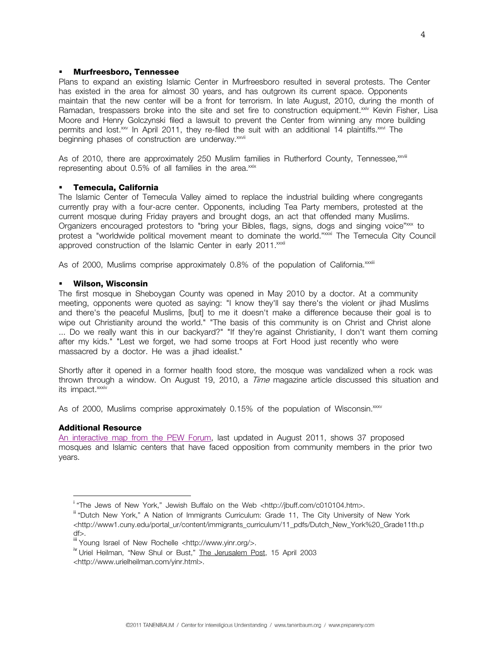## **Murfreesboro, Tennessee**

Plans to expand an existing Islamic Center in Murfreesboro resulted in several protests. The Center has existed in the area for almost 30 years, and has outgrown its current space. Opponents maintain that the new center will be a front for terrorism. In late August, 2010, during the month of Ramadan, trespassers broke into the site and set fire to construction equipment.<sup>xxiv</sup> Kevin Fisher, Lisa Moore and Henry Golczynski filed a lawsuit to prevent the Center from winning any more building permits and lost.<sup>xxv</sup> In April 2011, they re-filed the suit with an additional 14 plaintiffs.<sup>xxvi</sup> The beginning phases of construction are underway.<sup>xxvii</sup>

As of 2010, there are approximately 250 Muslim families in Rutherford County, Tennessee, xxviii representing about  $0.5\%$  of all families in the area.<sup> $x$ ix</sup>

#### **Temecula, California**

The Islamic Center of Temecula Valley aimed to replace the industrial building where congregants currently pray with a four-acre center. Opponents, including Tea Party members, protested at the current mosque during Friday prayers and brought dogs, an act that offended many Muslims. Organizers encouraged protestors to "bring your Bibles, flags, signs, dogs and singing voice"xxx to protest a "worldwide political movement meant to dominate the world."xxxi The Temecula City Council approved construction of the Islamic Center in early 2011.<sup>xxxii</sup>

As of 2000, Muslims comprise approximately 0.8% of the population of California.<sup>xxxiii</sup>

#### **Wilson, Wisconsin**

The first mosque in Sheboygan County was opened in May 2010 by a doctor. At a community meeting, opponents were quoted as saying: "I know they'll say there's the violent or jihad Muslims and there's the peaceful Muslims, [but] to me it doesn't make a difference because their goal is to wipe out Christianity around the world." "The basis of this community is on Christ and Christ alone ... Do we really want this in our backyard?" "If they're against Christianity, I don't want them coming after my kids." "Lest we forget, we had some troops at Fort Hood just recently who were massacred by a doctor. He was a jihad idealist."

Shortly after it opened in a former health food store, the mosque was vandalized when a rock was thrown through a window. On August 19, 2010, a *Time* magazine article discussed this situation and its impact.<sup>xxxiv</sup>

As of 2000, Muslims comprise approximately 0.15% of the population of Wisconsin.<sup>xxxv</sup>

#### **Additional Resource**

i<br>L

An interactive map from the PEW Forum, last updated in August 2011, shows 37 proposed mosques and Islamic centers that have faced opposition from community members in the prior two years.

<sup>&</sup>lt;sup>i</sup> "The Jews of New York," Jewish Buffalo on the Web <http://jbuff.com/c010104.htm>.

<sup>&</sup>lt;sup>ii</sup> "Dutch New York," A Nation of Immigrants Curriculum: Grade 11, The City University of New York <http://www1.cuny.edu/portal\_ur/content/immigrants\_curriculum/11\_pdfs/Dutch\_New\_York%20\_Grade11th.p df>.

iii Young Israel of New Rochelle <http://www.yinr.org/>.

<sup>&</sup>lt;sup>iv</sup> Uriel Heilman, "New Shul or Bust," The Jerusalem Post, 15 April 2003

<sup>&</sup>lt;http://www.urielheilman.com/yinr.html>.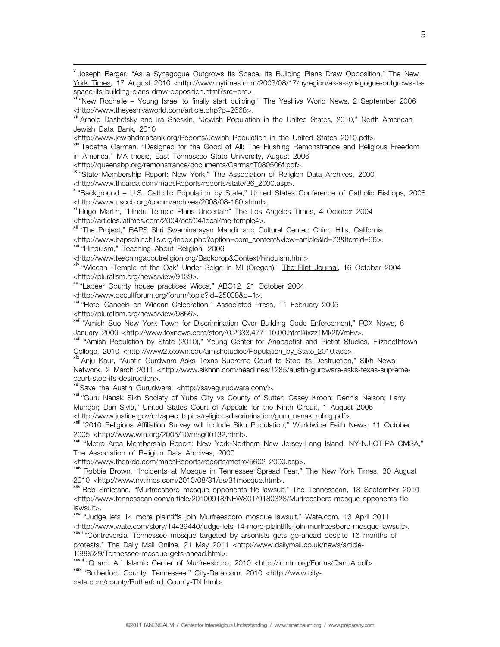<sup>v</sup> Joseph Berger, "As a Synagogue Outgrows Its Space, Its Building Plans Draw Opposition," The New York Times, 17 August 2010 <http://www.nytimes.com/2003/08/17/nyregion/as-a-synagogue-outgrows-its-<br>space-its-building-plans-draw-opposition.html?src=pm>.

vi "New Rochelle – Young Israel to finally start building," The Yeshiva World News, 2 September 2006<br><http://www.theyeshivaworld.com/article.php?p=2668>.

<sup>vii</sup> Arnold Dashefsky and Ira Sheskin, "Jewish Population in the United States, 2010," North American Jewish Data Bank, 2010<br><http://www.jewishdatabank.org/Reports/Jewish\_Population\_in\_the\_United\_States\_2010.pdf>.

vill Tabetha Garman, "Designed for the Good of All: The Flushing Remonstrance and Religious Freedom in America," MA thesis, East Tennessee State University, August 2006<br><http://queensbp.org/remonstrance/documents/GarmanT080506f.pdf>.

ix "State Membership Report: New York," The Association of Religion Data Archives, 2000

<http://www.thearda.com/mapsReports/reports/state/36\_2000.asp>.<br>
x "Background – U.S. Catholic Population by State," United States Conference of Catholic Bishops, 2008<br>
<http://www.usccb.org/comm/archives/2008/08-160.shtml

<sup>xi</sup> Hugo Martin, "Hindu Temple Plans Uncertain" The Los Angeles Times, 4 October 2004 <http://articles.latimes.com/2004/oct/04/local/me-temple4>. xii "The Project," BAPS Shri Swaminarayan Mandir and Cultural Center: Chino Hills, California,

<http://www.bapschinohills.org/index.php?option=com\_content&view=article&id=73&Itemid=66>.<br>xiii "Hinduism," Teaching About Religion, 2006<br><http://www.teachingaboutreligion.org/Backdrop&Context/hinduism.htm>.

xiv "Wiccan 'Temple of the Oak' Under Seige in MI (Oregon)," The Flint Journal, 16 October 2004 <http://pluralism.org/news/view/9139>.

xv "Lapeer County house practices Wicca," ABC12, 21 October 2004

<http://www.occultforum.org/forum/topic?id=25008&p=1>. xvi "Hotel Cancels on Wiccan Celebration," Associated Press, 11 February 2005 <http://pluralism.org/news/view/9866>.

xvii "Amish Sue New York Town for Discrimination Over Building Code Enforcement," FOX News, 6 January 2009 <http://www.foxnews.com/story/0,2933,477110,00.html#ixzz1Mk2lWmFv>.<br><sup>xviii</sup> "Amish Population by State (2010)," Young Center for Anabaptist and Pietist Studies, Elizabethtown

College, 2010 <http://www2.etown.edu/amishstudies/Population\_by\_State\_2010.asp>.<br><sup>xix</sup> Aniu Kaur, "Austin Gurdwara Asks Texas Supreme Court to Stop Its Destruction," Sikh News

Network, 2 March 2011 <http://www.sikhnn.com/headlines/1285/austin-gurdwara-asks-texas-supremecourt-stop-its-destruction>.

xx Save the Austin Gurudwara! <http://savegurudwara.com/>.

<sup>xxi</sup> "Guru Nanak Sikh Society of Yuba City vs County of Sutter; Casey Kroon; Dennis Nelson; Larry Munger; Dan Sivla," United States Court of Appeals for the Ninth Circuit, 1 August 2006

<http://www.justice.gov/crt/spec\_topics/religiousdiscrimination/guru\_nanak\_ruling.pdf>. xxii "2010 Religious Affiliation Survey will Include Sikh Population," Worldwide Faith News, 11 October 2005 <http://www.wfn.org/2005/10/msg00132.html>.

xxiii "Metro Area Membership Report: New York-Northern New Jersey-Long Island, NY-NJ-CT-PA CMSA," The Association of Religion Data Archives, 2000<br><http://www.thearda.com/mapsReports/reports/metro/5602\_2000.asp>.

xxiv Robbie Brown, "Incidents at Mosque in Tennessee Spread Fear," The New York Times, 30 August 2010 <http://www.nytimes.com/2010/08/31/us/31mosque.html>.<br>xxv Bob Smietana, "Murfreesboro mosque opponents file lawsuit," The Tennessean, 18 September 2010

<http://www.tennessean.com/article/20100918/NEWS01/9180323/Murfreesboro-mosque-opponents-filelawsuit>.

xxvi "Judge lets 14 more plaintiffs join Murfreesboro mosque lawsuit," Wate.com, 13 April 2011 <http://www.wate.com/story/14439440/judge-lets-14-more-plaintiffs-join-murfreesboro-mosque-lawsuit>. xxvii "Controversial Tennessee mosque targeted by arsonists gets go-ahead despite 16 months of

protests," The Daily Mail Online, 21 May 2011 <http://www.dailymail.co.uk/news/article-1389529/Tennessee-mosque-gets-ahead.html>.

xxviii "Q and A," Islamic Center of Murfreesboro, 2010 <http://icmtn.org/Forms/QandA.pdf>. xxix "Rutherford County, Tennessee," City-Data.com, 2010 <http://www.city-

data.com/county/Rutherford\_County-TN.html>.